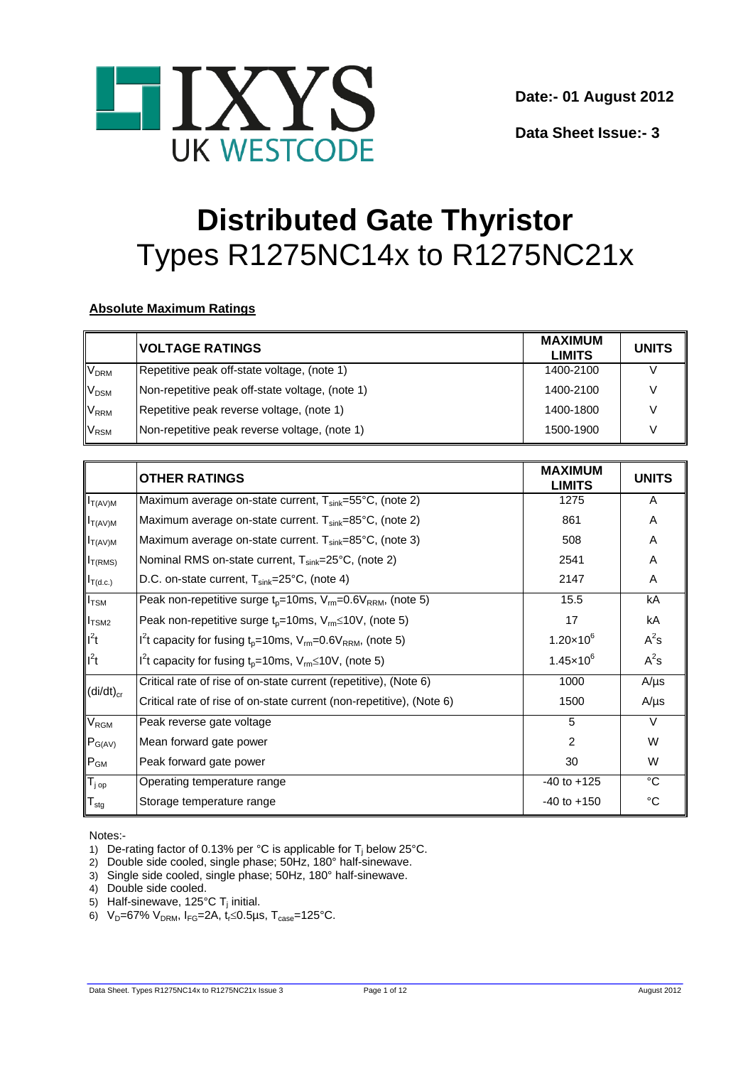

**Data Sheet Issue:- 3** 

# **Distributed Gate Thyristor** Types R1275NC14x to R1275NC21x

# **Absolute Maximum Ratings**

|                        | <b>VOLTAGE RATINGS</b>                          | <b>MAXIMUM</b><br><b>LIMITS</b> | <b>UNITS</b> |
|------------------------|-------------------------------------------------|---------------------------------|--------------|
| <b>V<sub>DRM</sub></b> | Repetitive peak off-state voltage, (note 1)     | 1400-2100                       |              |
| V <sub>DSM</sub>       | Non-repetitive peak off-state voltage, (note 1) | 1400-2100                       |              |
| <b>V<sub>RRM</sub></b> | Repetitive peak reverse voltage, (note 1)       | 1400-1800                       |              |
| V <sub>RSM</sub>       | Non-repetitive peak reverse voltage, (note 1)   | 1500-1900                       |              |

|                    | <b>OTHER RATINGS</b>                                                                              | <b>MAXIMUM</b><br><b>LIMITS</b> | <b>UNITS</b> |
|--------------------|---------------------------------------------------------------------------------------------------|---------------------------------|--------------|
| $I_{T(AV)M}$       | Maximum average on-state current, $T_{sink} = 55^{\circ}C$ , (note 2)                             | 1275                            | A            |
| $I_{T(AV)M}$       | Maximum average on-state current. T <sub>sink</sub> =85°C, (note 2)                               | 861                             | Α            |
| $I_{T(AV)M}$       | Maximum average on-state current. $T_{sink} = 85^{\circ}C$ , (note 3)                             | 508                             | Α            |
| $I_{T(RMS)}$       | Nominal RMS on-state current, T <sub>sink</sub> =25°C, (note 2)                                   | 2541                            | A            |
| $I_{T(d.c.)}$      | D.C. on-state current, $T_{sink}$ =25°C, (note 4)                                                 | 2147                            | Α            |
| $I_{\text{TSM}}$   | Peak non-repetitive surge $t_0$ =10ms, $V_{\text{rm}}$ =0.6 $V_{\text{RRM}}$ , (note 5)           | 15.5                            | kA           |
| $I_{TSM2}$         | Peak non-repetitive surge $t_p = 10$ ms, $V_m \le 10V$ , (note 5)                                 | 17                              | kA           |
| $I^2t$             | I <sup>2</sup> t capacity for fusing t <sub>p</sub> =10ms, $V_{rm}$ =0.6 $V_{\rm RRM}$ , (note 5) | $1.20 \times 10^{6}$            | $A^2s$       |
| $I^2t$             | $I2t$ capacity for fusing t <sub>p</sub> =10ms, V <sub>rm</sub> ≤10V, (note 5)                    | $1.45 \times 10^{6}$            | $A^2s$       |
|                    | Critical rate of rise of on-state current (repetitive), (Note 6)                                  | 1000                            | $A/\mu s$    |
| $(di/dt)_{cr}$     | Critical rate of rise of on-state current (non-repetitive), (Note 6)                              | 1500                            | $A/\mu s$    |
| $V_{\text{RGM}}$   | Peak reverse gate voltage                                                                         | 5                               | $\vee$       |
| $P_{G(AV)}$        | Mean forward gate power                                                                           | 2                               | W            |
| $P_{GM}$           | Peak forward gate power                                                                           | 30                              | W            |
| $T_{j \text{ op}}$ | Operating temperature range                                                                       | $-40$ to $+125$                 | °C           |
| $T_{\text{stg}}$   | Storage temperature range                                                                         | $-40$ to $+150$                 | °C           |

Notes:-

- 1) De-rating factor of 0.13% per °C is applicable for  $T_j$  below 25°C.
- 2) Double side cooled, single phase; 50Hz, 180° half-sinewave.
- 3) Single side cooled, single phase; 50Hz, 180° half-sinewave.
- 4) Double side cooled.
- 5) Half-sinewave, 125°C T<sub>i</sub> initial.
- 6)  $V_D = 67\% V_{DRM}$ ,  $I_{FG} = 2A$ ,  $t_f \le 0.5 \mu s$ ,  $T_{case} = 125\degree C$ .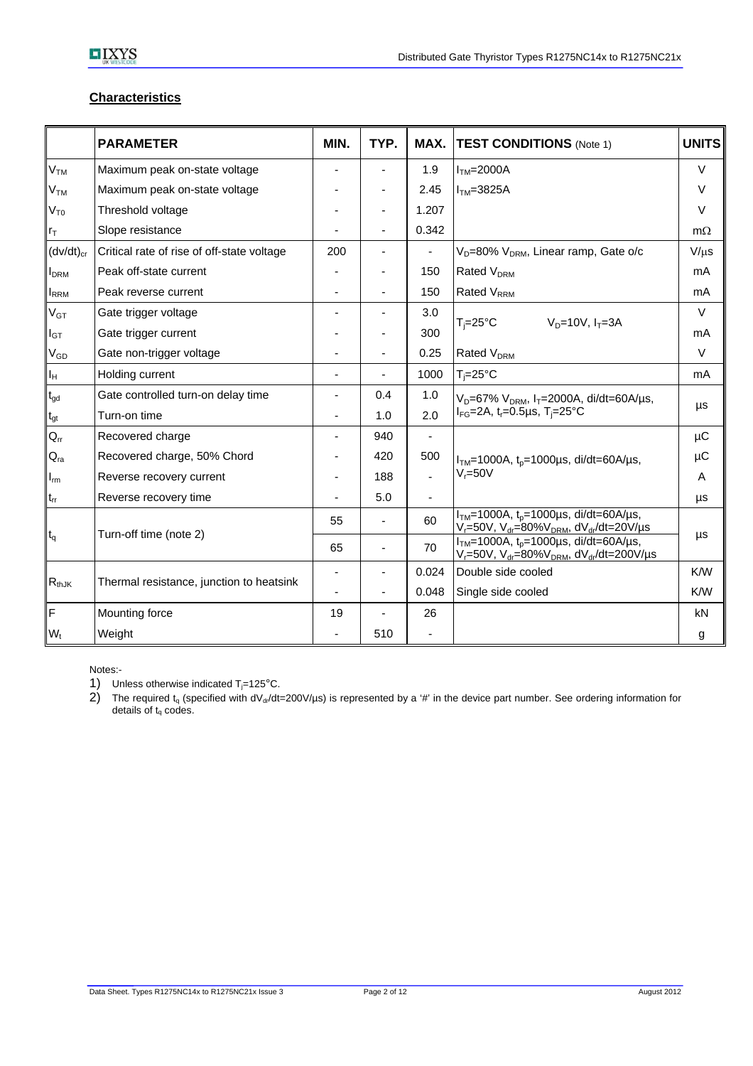# **Characteristics**

|                              | <b>PARAMETER</b>                           | MIN.           | TYP.                     | MAX.           | <b>TEST CONDITIONS</b> (Note 1)                                                                                                                | <b>UNITS</b> |
|------------------------------|--------------------------------------------|----------------|--------------------------|----------------|------------------------------------------------------------------------------------------------------------------------------------------------|--------------|
| V <sub>TM</sub>              | Maximum peak on-state voltage              |                | ٠                        | 1.9            | $ITM=2000A$                                                                                                                                    | $\vee$       |
| V <sub>тм</sub>              | Maximum peak on-state voltage              |                |                          | 2.45           | $ITM=3825A$                                                                                                                                    | $\vee$       |
| $V_{T0}$                     | Threshold voltage                          |                |                          | 1.207          |                                                                                                                                                | $\vee$       |
| rт                           | Slope resistance                           |                |                          | 0.342          |                                                                                                                                                | $m\Omega$    |
| $(dv/dt)_{cr}$               | Critical rate of rise of off-state voltage | 200            |                          |                | V <sub>D</sub> =80% V <sub>DRM</sub> , Linear ramp, Gate o/c                                                                                   | $V/\mu s$    |
| <b>I</b> <sub>DRM</sub>      | Peak off-state current                     |                |                          | 150            | Rated $V_{DRM}$                                                                                                                                | mA           |
| <b>IRRM</b>                  | Peak reverse current                       |                |                          | 150            | Rated $V_{RRM}$                                                                                                                                | mA           |
| $\mathsf{V}_{\mathsf{GT}}$   | Gate trigger voltage                       |                | ÷                        | 3.0            |                                                                                                                                                | $\vee$       |
| $I_{\mathsf{GT}}$            | Gate trigger current                       |                |                          | 300            | $V_D = 10V$ , $I_T = 3A$<br>$T_i = 25^{\circ}C$                                                                                                | mA           |
| V <sub>GD</sub>              | Gate non-trigger voltage                   |                | -                        | 0.25           | Rated V <sub>DRM</sub>                                                                                                                         | $\vee$       |
| Iн                           | Holding current                            | $\blacksquare$ | $\overline{\phantom{0}}$ | 1000           | $T_i = 25$ °C                                                                                                                                  | mA           |
| $\mathfrak{t}_{\text{gd}}$   | Gate controlled turn-on delay time         | $\blacksquare$ | 0.4                      | 1.0            | $V_D = 67\% V_{DRM}$ , $I_T = 2000A$ , di/dt=60A/µs,                                                                                           | μs           |
| $\mathfrak{t}_{\mathsf{gt}}$ | Turn-on time                               |                | 1.0                      | 2.0            | $I_{FG} = 2A$ , t <sub>r</sub> =0.5µs, T <sub>i</sub> =25°C                                                                                    |              |
| $Q_{rr}$                     | Recovered charge                           |                | 940                      | $\blacksquare$ |                                                                                                                                                | μC           |
| $\mathsf{Q}_{\mathsf{ra}}$   | Recovered charge, 50% Chord                |                | 420                      | 500            | $ITM=1000A$ , t <sub>p</sub> =1000µs, di/dt=60A/µs,                                                                                            | μC           |
| $I_{rm}$                     | Reverse recovery current                   |                | 188                      | $\mathbf{r}$   | $V_r = 50V$                                                                                                                                    | A            |
| $t_{rr}$                     | Reverse recovery time                      |                | 5.0                      |                |                                                                                                                                                | μs           |
|                              | Turn-off time (note 2)                     | 55             | $\blacksquare$           | 60             | $ITM=1000A$ , $tp=1000\mu s$ , di/dt=60A/ $\mu s$ ,<br>V <sub>r</sub> =50V, V <sub>dr</sub> =80%V <sub>DRM</sub> , dV <sub>dr</sub> /dt=20V/µs | μs           |
| $t_q$                        |                                            | 65             | ÷                        | 70             | $ITM=1000A$ , t <sub>p</sub> =1000µs, di/dt=60A/µs,<br>$V_r = 50V$ , $V_{dr} = 80\%V_{DRM}$ , $dV_{dr}/dt = 200V/\mu s$                        |              |
|                              | Thermal resistance, junction to heatsink   |                |                          | 0.024          | Double side cooled                                                                                                                             | K/W          |
| $R_{thJK}$                   |                                            |                |                          | 0.048          | Single side cooled                                                                                                                             | K/W          |
| F                            | Mounting force                             | 19             |                          | 26             |                                                                                                                                                | kN           |
| $W_t$                        | Weight                                     |                | 510                      |                |                                                                                                                                                | g            |

Notes:-

1) Unless otherwise indicated  $T_j = 125^{\circ}$ C.

2) The required  $t_q$  (specified with dV<sub>dr</sub>/dt=200V/µs) is represented by a '#' in the device part number. See ordering information for details of t<sub>q</sub> codes.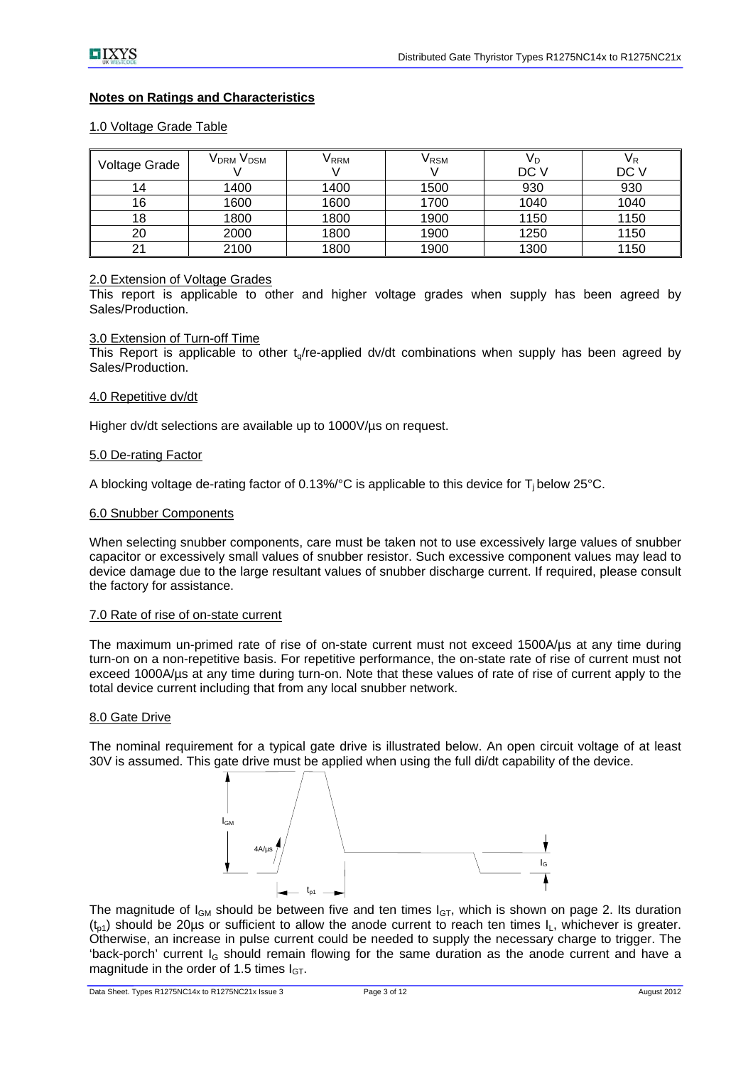# **Notes on Ratings and Characteristics**

## 1.0 Voltage Grade Table

| Voltage Grade | V <sub>DRM</sub> V <sub>DSM</sub> | V RRM | VRSM | Vр<br>DC V | VR<br>DC V |
|---------------|-----------------------------------|-------|------|------------|------------|
| 14            | 1400                              | 1400  | 1500 | 930        | 930        |
| 16            | 1600                              | 1600  | 1700 | 1040       | 1040       |
| 18            | 1800                              | 1800  | 1900 | 1150       | 1150       |
| 20            | 2000                              | 1800  | 1900 | 1250       | 1150       |
| 21            | 2100                              | 1800  | 1900 | 1300       | 1150       |

## 2.0 Extension of Voltage Grades

This report is applicable to other and higher voltage grades when supply has been agreed by Sales/Production.

#### 3.0 Extension of Turn-off Time

This Report is applicable to other  $t_0$ /re-applied dv/dt combinations when supply has been agreed by Sales/Production.

#### 4.0 Repetitive dv/dt

Higher dv/dt selections are available up to 1000V/µs on request.

#### 5.0 De-rating Factor

A blocking voltage de-rating factor of 0.13%/°C is applicable to this device for  $T_i$  below 25°C.

## 6.0 Snubber Components

When selecting snubber components, care must be taken not to use excessively large values of snubber capacitor or excessively small values of snubber resistor. Such excessive component values may lead to device damage due to the large resultant values of snubber discharge current. If required, please consult the factory for assistance.

### 7.0 Rate of rise of on-state current

The maximum un-primed rate of rise of on-state current must not exceed 1500A/µs at any time during turn-on on a non-repetitive basis. For repetitive performance, the on-state rate of rise of current must not exceed 1000A/us at any time during turn-on. Note that these values of rate of rise of current apply to the total device current including that from any local snubber network.

#### 8.0 Gate Drive

The nominal requirement for a typical gate drive is illustrated below. An open circuit voltage of at least 30V is assumed. This gate drive must be applied when using the full di/dt capability of the device.



The magnitude of  $I_{GM}$  should be between five and ten times  $I_{GT}$ , which is shown on page 2. Its duration  $(t_{n1})$  should be 20us or sufficient to allow the anode current to reach ten times  $I_L$ , whichever is greater. Otherwise, an increase in pulse current could be needed to supply the necessary charge to trigger. The 'back-porch' current  $I_G$  should remain flowing for the same duration as the anode current and have a magnitude in the order of 1.5 times  $I_{GT}$ .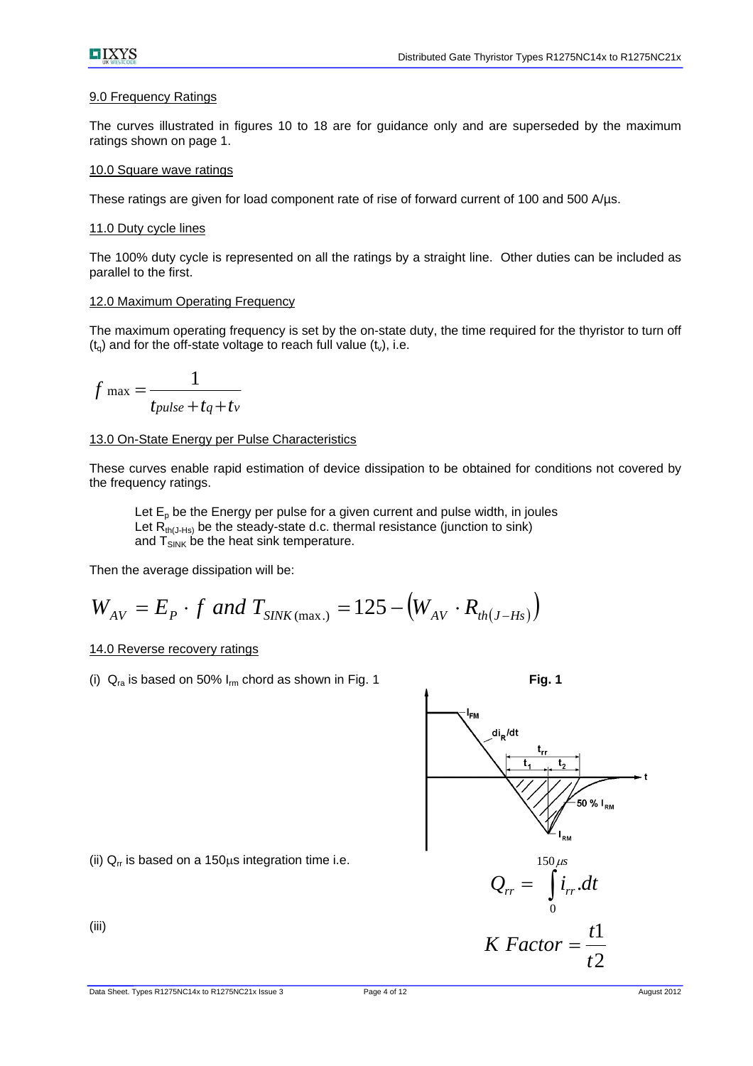# 9.0 Frequency Ratings

The curves illustrated in figures 10 to 18 are for guidance only and are superseded by the maximum ratings shown on page 1.

# 10.0 Square wave ratings

These ratings are given for load component rate of rise of forward current of 100 and 500 A/µs.

# 11.0 Duty cycle lines

The 100% duty cycle is represented on all the ratings by a straight line. Other duties can be included as parallel to the first.

# 12.0 Maximum Operating Frequency

The maximum operating frequency is set by the on-state duty, the time required for the thyristor to turn off  $(t<sub>o</sub>)$  and for the off-state voltage to reach full value  $(t<sub>v</sub>)$ , i.e.

$$
f_{\text{max}} = \frac{1}{t_{pulse} + t_q + t_v}
$$

# 13.0 On-State Energy per Pulse Characteristics

These curves enable rapid estimation of device dissipation to be obtained for conditions not covered by the frequency ratings.

Let  $E_p$  be the Energy per pulse for a given current and pulse width, in joules Let  $R_{th(J-Hs)}$  be the steady-state d.c. thermal resistance (junction to sink) and  $T_{SINK}$  be the heat sink temperature.

Then the average dissipation will be:

$$
W_{AV} = E_P \cdot f
$$
 and  $T_{SINK(max.)} = 125 - (W_{AV} \cdot R_{th(J-Hs)})$ 

# 14.0 Reverse recovery ratings

(i)  $Q_{ra}$  is based on 50%  $I_{rm}$  chord as shown in Fig. 1 **Fig. 1** 



(ii)  $Q<sub>rr</sub>$  is based on a 150 $\mu$ s integration time i.e.

(iii)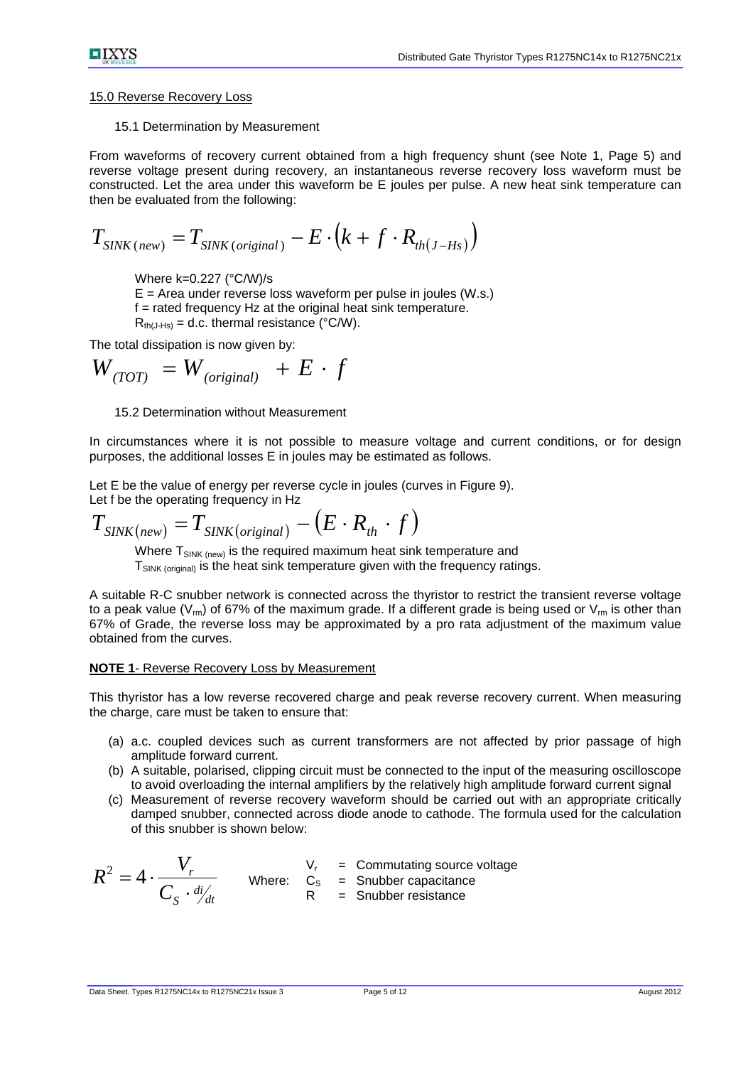### 15.0 Reverse Recovery Loss

15.1 Determination by Measurement

From waveforms of recovery current obtained from a high frequency shunt (see Note 1, Page 5) and reverse voltage present during recovery, an instantaneous reverse recovery loss waveform must be constructed. Let the area under this waveform be E joules per pulse. A new heat sink temperature can then be evaluated from the following:

$$
T_{\text{SINK(new)}} = T_{\text{SINK(original)}} - E \cdot (k + f \cdot R_{\text{th}(J - Hs)})
$$

Where k=0.227 (°C/W)/s

 $E =$  Area under reverse loss waveform per pulse in joules (W.s.) f = rated frequency Hz at the original heat sink temperature.  $R_{th(J-Hs)} = d.c.$  thermal resistance (°C/W).

The total dissipation is now given by:

$$
W_{(TOT)} = W_{(original)} + E \cdot f
$$

15.2 Determination without Measurement

In circumstances where it is not possible to measure voltage and current conditions, or for design purposes, the additional losses E in joules may be estimated as follows.

Let E be the value of energy per reverse cycle in joules (curves in Figure 9). Let f be the operating frequency in Hz

$$
T_{\text{SINK(new)}} = T_{\text{SINK(original)}} - (E \cdot R_{\text{th}} \cdot f)
$$

Where  $T_{SINK (new)}$  is the required maximum heat sink temperature and  $T_{\text{SINK (original)}}$  is the heat sink temperature given with the frequency ratings.

A suitable R-C snubber network is connected across the thyristor to restrict the transient reverse voltage to a peak value ( $V_{\text{m}}$ ) of 67% of the maximum grade. If a different grade is being used or  $V_{\text{m}}$  is other than 67% of Grade, the reverse loss may be approximated by a pro rata adjustment of the maximum value obtained from the curves.

#### **NOTE 1**- Reverse Recovery Loss by Measurement

This thyristor has a low reverse recovered charge and peak reverse recovery current. When measuring the charge, care must be taken to ensure that:

- (a) a.c. coupled devices such as current transformers are not affected by prior passage of high amplitude forward current.
- (b) A suitable, polarised, clipping circuit must be connected to the input of the measuring oscilloscope to avoid overloading the internal amplifiers by the relatively high amplitude forward current signal
- (c) Measurement of reverse recovery waveform should be carried out with an appropriate critically damped snubber, connected across diode anode to cathode. The formula used for the calculation of this snubber is shown below:

$$
R^{2} = 4 \cdot \frac{V_{r}}{C_{S} \cdot \frac{di}{dt}}
$$
 Where:  $C_{S} = \text{Smubber capacitance}$   
R = Subber resistance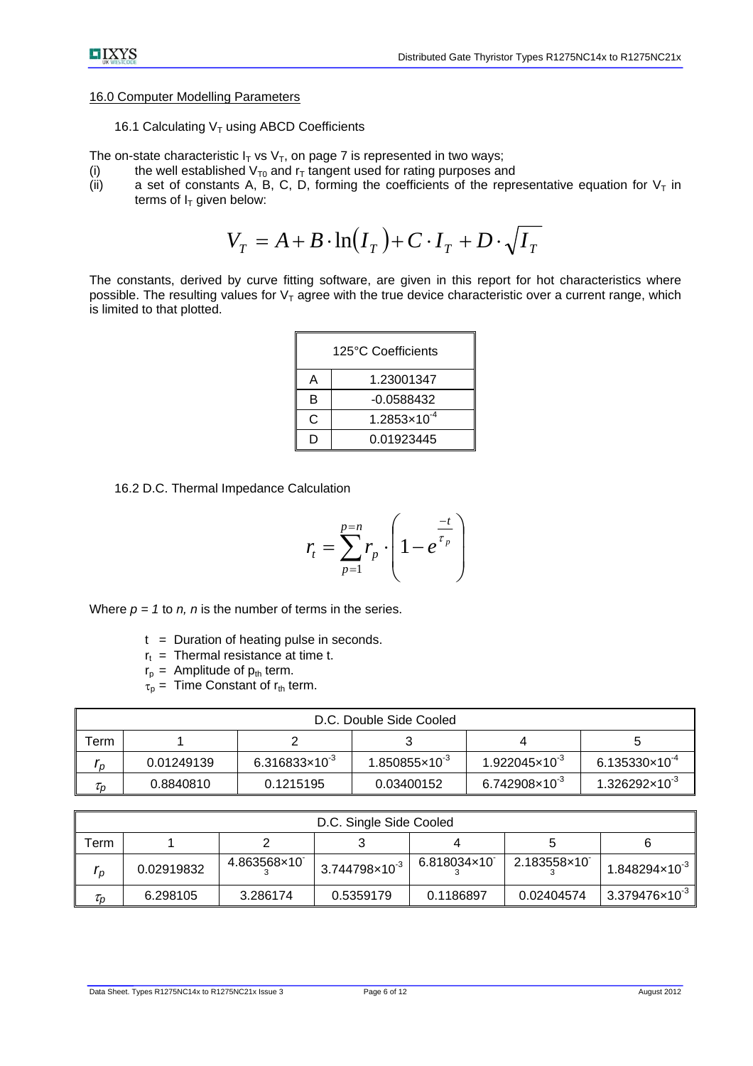# $\blacksquare$ IXYS

## 16.0 Computer Modelling Parameters

16.1 Calculating  $V<sub>T</sub>$  using ABCD Coefficients

The on-state characteristic  $I_T$  vs  $V_T$ , on page 7 is represented in two ways;

- 
- (i) the well established  $V_{T0}$  and  $r<sub>T</sub>$  tangent used for rating purposes and (ii) a set of constants A, B, C, D, forming the coefficients of the reproa set of constants A, B, C, D, forming the coefficients of the representative equation for  $V<sub>T</sub>$  in terms of  $I_T$  given below:

$$
V_T = A + B \cdot \ln(I_T) + C \cdot I_T + D \cdot \sqrt{I_T}
$$

The constants, derived by curve fitting software, are given in this report for hot characteristics where possible. The resulting values for  $V<sub>T</sub>$  agree with the true device characteristic over a current range, which is limited to that plotted.

| 125°C Coefficients |                       |  |  |  |  |
|--------------------|-----------------------|--|--|--|--|
| Α                  | 1.23001347            |  |  |  |  |
| в                  | -0.0588432            |  |  |  |  |
| C                  | $1.2853\times10^{-4}$ |  |  |  |  |
|                    | 0.01923445            |  |  |  |  |

16.2 D.C. Thermal Impedance Calculation

$$
r_{t} = \sum_{p=1}^{p=n} r_{p} \cdot \left(1 - e^{\frac{-t}{\tau_{p}}}\right)
$$

Where  $p = 1$  to  $n$ ,  $n$  is the number of terms in the series.

- $t =$  Duration of heating pulse in seconds.
- $r_t$  = Thermal resistance at time t.
- $r_p =$  Amplitude of  $p_{th}$  term.
- $\tau_{p}$  = Time Constant of  $r_{th}$  term.

| D.C. Double Side Cooled |            |                         |                           |                           |                         |  |  |  |
|-------------------------|------------|-------------------------|---------------------------|---------------------------|-------------------------|--|--|--|
| ™erm                    |            |                         |                           |                           |                         |  |  |  |
| n                       | 0.01249139 | $6.316833\times10^{-3}$ | $1.850855 \times 10^{-3}$ | $1.922045 \times 10^{-3}$ | $6.135330\times10^{-4}$ |  |  |  |
| $\tau_{\text{o}}$       | 0.8840810  | 0.1215195               | 0.03400152                | $6.742908\times10^{-3}$   | $1.326292\times10^{3}$  |  |  |  |

| D.C. Single Side Cooled |            |             |                              |             |             |                         |  |  |  |
|-------------------------|------------|-------------|------------------------------|-------------|-------------|-------------------------|--|--|--|
| erm                     |            |             |                              |             |             |                         |  |  |  |
| I n                     | 0.02919832 | 4.863568×10 | $13.744798 \times 10^{-3}$ I | 6.818034×10 | 2.183558×10 | $1.848294\times10^{-3}$ |  |  |  |
| $\tau_{\rm n}$          | 6.298105   | 3.286174    | 0.5359179                    | 0.1186897   | 0.02404574  | $3.379476\times10^{3}$  |  |  |  |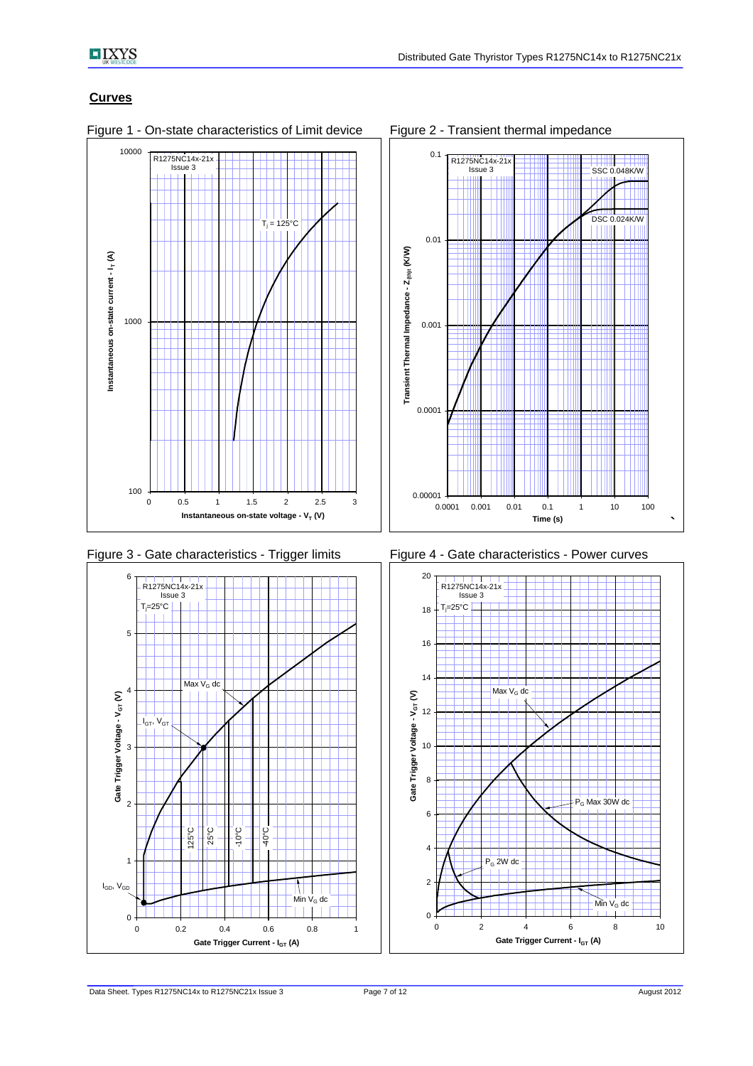# **Curves**



Figure 1 - On-state characteristics of Limit device Figure 2 - Transient thermal impedance



Figure 3 - Gate characteristics - Trigger limits Figure 4 - Gate characteristics - Power curves



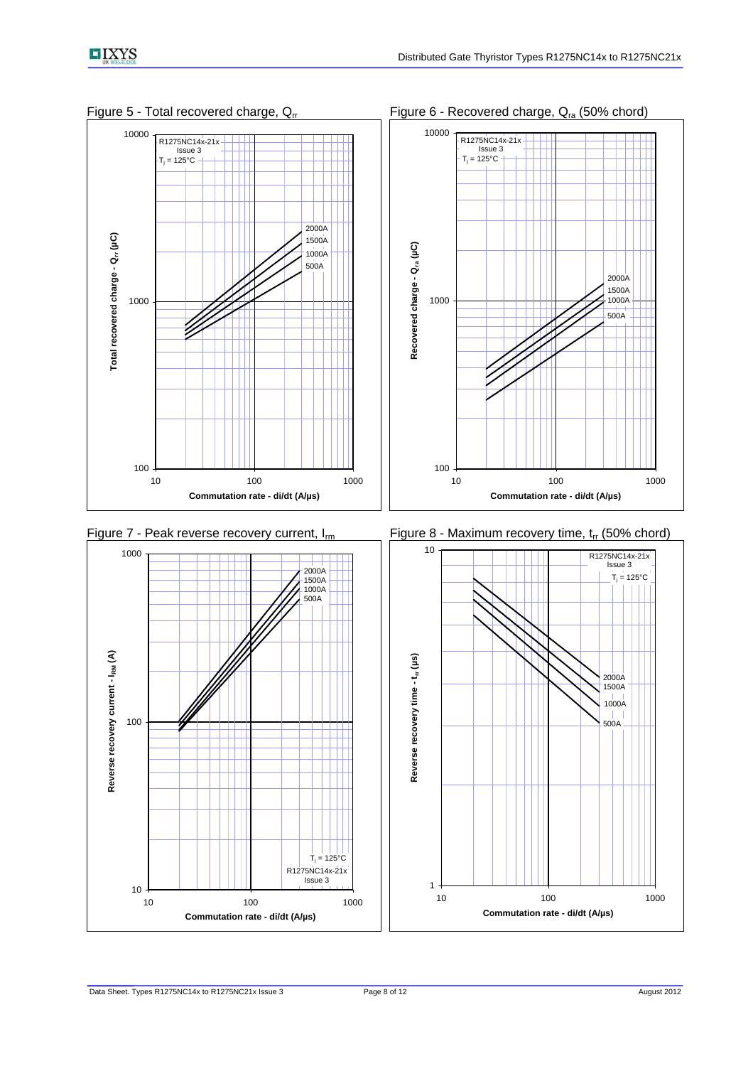1500A 1000A

500A

2000A







1000

**Recovered charge - Qra (µC)**

Recovered charge - Q<sub>ra</sub> (µC)

10000



10 100 1000 **Commutation rate - di/dt (A/µs)**

T<sub>i</sub> = 125°C

R1275NC14x-21x Issue 3

10

100

**Reverse recovery current - IRM (A)**

Reverse recovery current - IRM (A)

1000

 $T_j$  = 125°C

R1275NC14x-21x Issue 3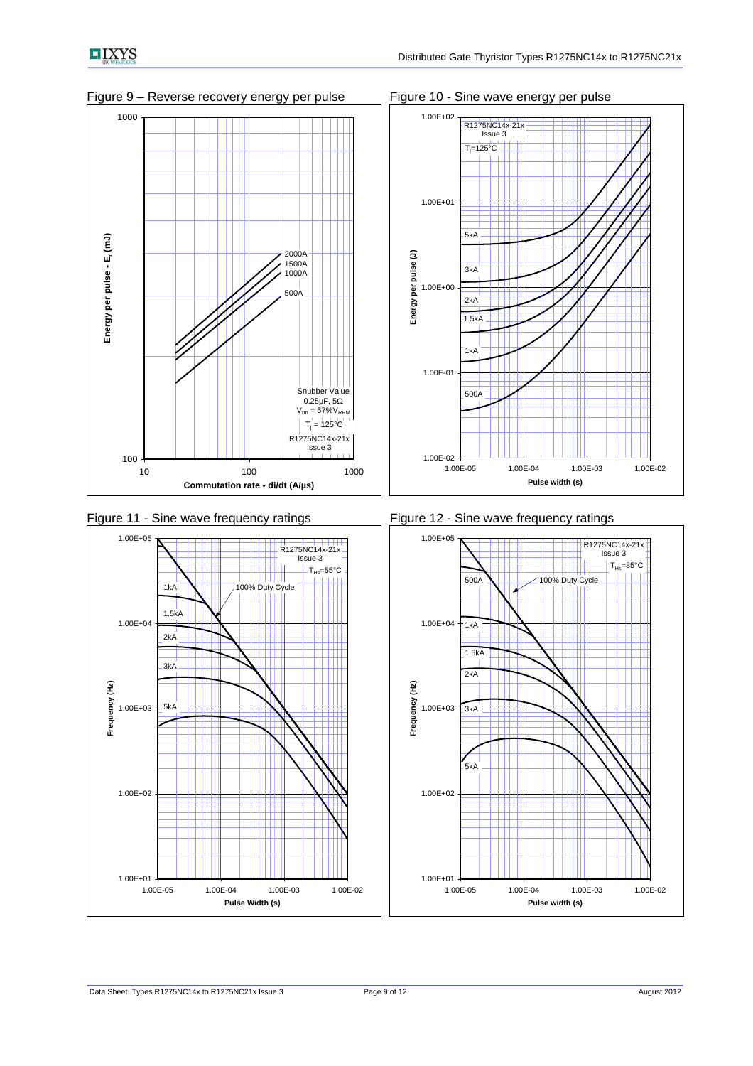











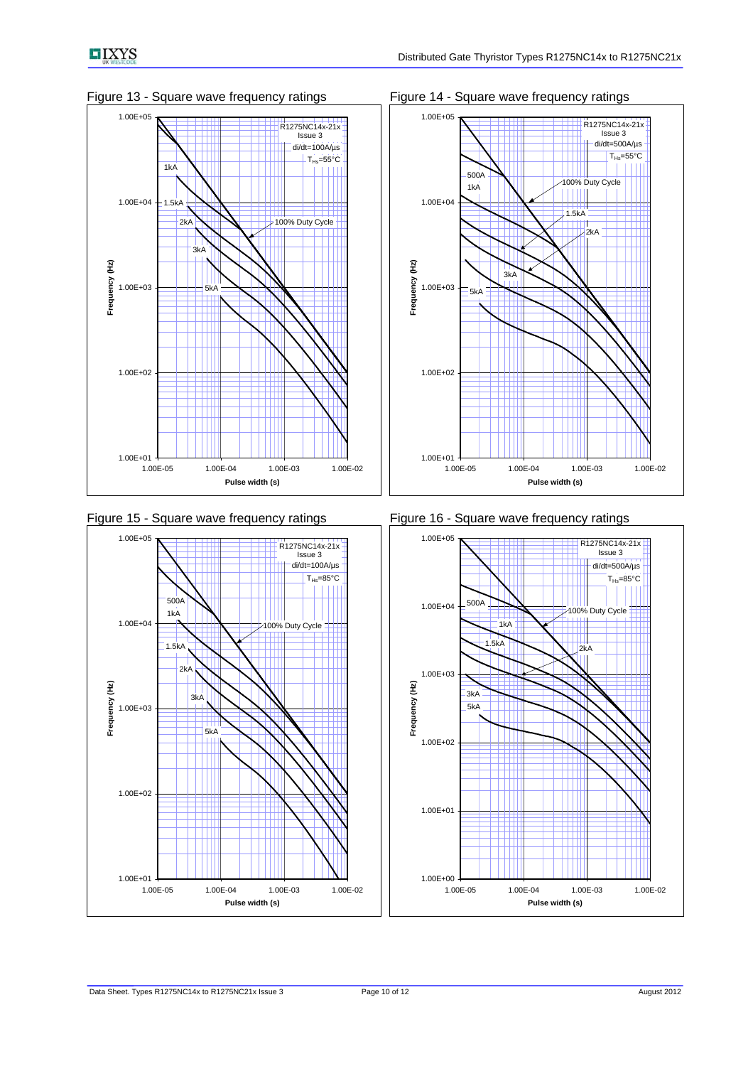











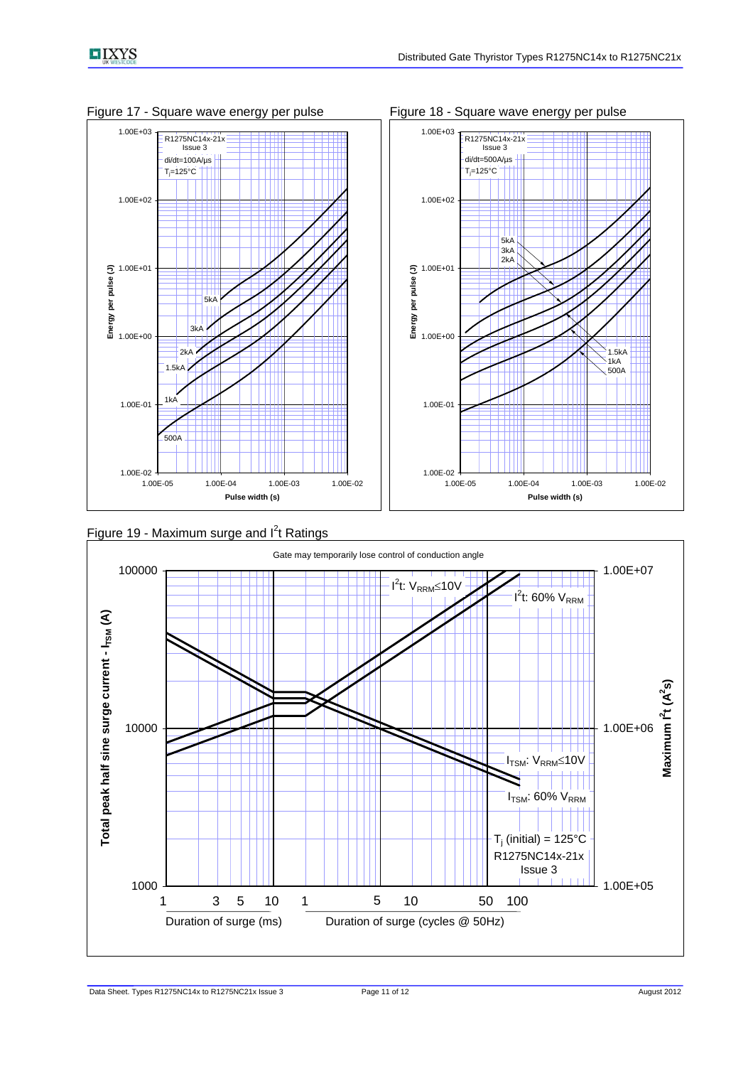

Figure 17 - Square wave energy per pulse Figure 18 - Square wave energy per pulse



Figure 19 - Maximum surge and  $I<sup>2</sup>t$  Ratings